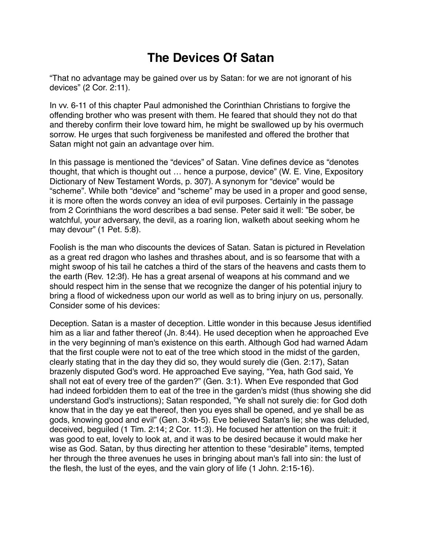## **The Devices Of Satan**

"That no advantage may be gained over us by Satan: for we are not ignorant of his devices" (2 Cor. 2:11).

In vv. 6-11 of this chapter Paul admonished the Corinthian Christians to forgive the offending brother who was present with them. He feared that should they not do that and thereby confirm their love toward him, he might be swallowed up by his overmuch sorrow. He urges that such forgiveness be manifested and offered the brother that Satan might not gain an advantage over him.

In this passage is mentioned the "devices" of Satan. Vine defines device as "denotes thought, that which is thought out … hence a purpose, device" (W. E. Vine, Expository Dictionary of New Testament Words, p. 307). A synonym for "device" would be "scheme". While both "device" and "scheme" may be used in a proper and good sense, it is more often the words convey an idea of evil purposes. Certainly in the passage from 2 Corinthians the word describes a bad sense. Peter said it well: "Be sober, be watchful, your adversary, the devil, as a roaring lion, walketh about seeking whom he may devour" (1 Pet. 5:8).

Foolish is the man who discounts the devices of Satan. Satan is pictured in Revelation as a great red dragon who lashes and thrashes about, and is so fearsome that with a might swoop of his tail he catches a third of the stars of the heavens and casts them to the earth (Rev. 12:3f). He has a great arsenal of weapons at his command and we should respect him in the sense that we recognize the danger of his potential injury to bring a flood of wickedness upon our world as well as to bring injury on us, personally. Consider some of his devices:

Deception. Satan is a master of deception. Little wonder in this because Jesus identified him as a liar and father thereof (Jn. 8:44). He used deception when he approached Eve in the very beginning of man's existence on this earth. Although God had warned Adam that the first couple were not to eat of the tree which stood in the midst of the garden, clearly stating that in the day they did so, they would surely die (Gen. 2:17), Satan brazenly disputed God's word. He approached Eve saying, "Yea, hath God said, Ye shall not eat of every tree of the garden?" (Gen. 3:1). When Eve responded that God had indeed forbidden them to eat of the tree in the garden's midst (thus showing she did understand God's instructions); Satan responded, "Ye shall not surely die: for God doth know that in the day ye eat thereof, then you eyes shall be opened, and ye shall be as gods, knowing good and evil" (Gen. 3:4b-5). Eve believed Satan's lie; she was deluded, deceived, beguiled (1 Tim. 2:14; 2 Cor. 11:3). He focused her attention on the fruit: it was good to eat, lovely to look at, and it was to be desired because it would make her wise as God. Satan, by thus directing her attention to these "desirable" items, tempted her through the three avenues he uses in bringing about man's fall into sin: the lust of the flesh, the lust of the eyes, and the vain glory of life (1 John. 2:15-16).